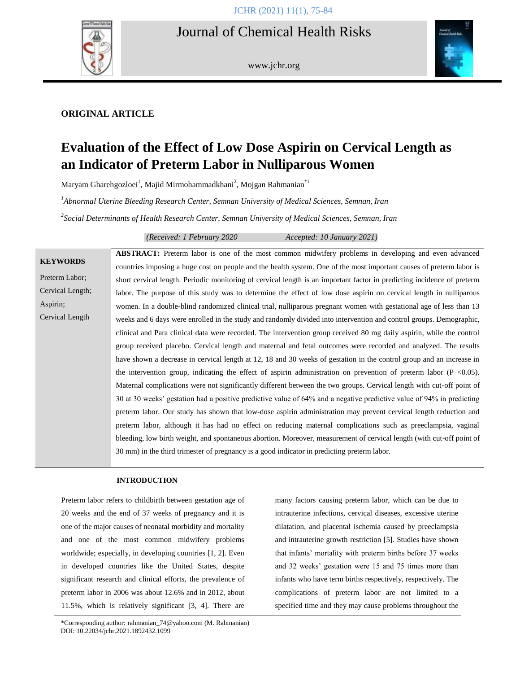## Journal of Chemical Health Risks



www.jchr.org



## **ORIGINAL ARTICLE**

# **Evaluation of the Effect of Low Dose Aspirin on Cervical Length as an Indicator of Preterm Labor in Nulliparous Women**

Maryam Gharehgozloei<sup>1</sup>, Majid Mirmohammadkhani<sup>2</sup>, Mojgan Rahmanian<sup>\*1</sup>

*1 Abnormal Uterine Bleeding Research Center, Semnan University of Medical Sciences, Semnan, Iran*

*2 Social Determinants of Health Research Center, Semnan University of Medical Sciences, Semnan, Iran*

*(Received: 1 February 2020 Accepted: 10 January 2021)*

|                  | <b>ABSTRACT:</b> Preterm labor is one of the most common midwifery problems in developing and even advanced             |
|------------------|-------------------------------------------------------------------------------------------------------------------------|
| <b>KEYWORDS</b>  | countries imposing a huge cost on people and the health system. One of the most important causes of preterm labor is    |
| Preterm Labor:   | short cervical length. Periodic monitoring of cervical length is an important factor in predicting incidence of preterm |
| Cervical Length; | labor. The purpose of this study was to determine the effect of low dose aspirin on cervical length in nulliparous      |
| Aspirin;         | women. In a double-blind randomized clinical trial, nulliparous pregnant women with gestational age of less than 13     |
| Cervical Length  | weeks and 6 days were enrolled in the study and randomly divided into intervention and control groups. Demographic,     |
|                  | clinical and Para clinical data were recorded. The intervention group received 80 mg daily aspirin, while the control   |
|                  | group received placebo. Cervical length and maternal and fetal outcomes were recorded and analyzed. The results         |
|                  | have shown a decrease in cervical length at 12, 18 and 30 weeks of gestation in the control group and an increase in    |
|                  | the intervention group, indicating the effect of aspiring administration on prevention of preterm labor ( $P < 0.05$ ). |
|                  | Maternal complications were not significantly different between the two groups. Cervical length with cut-off point of   |
|                  | 30 at 30 weeks' gestation had a positive predictive value of 64% and a negative predictive value of 94% in predicting   |
|                  | preterm labor. Our study has shown that low-dose aspirin administration may prevent cervical length reduction and       |
|                  | preterm labor, although it has had no effect on reducing maternal complications such as preeclampsia, vaginal           |
|                  | bleeding, low birth weight, and spontaneous abortion. Moreover, measurement of cervical length (with cut-off point of   |
|                  | 30 mm) in the third trimester of pregnancy is a good indicator in predicting preterm labor.                             |

#### **INTRODUCTION**

Preterm labor refers to childbirth between gestation age of 20 weeks and the end of 37 weeks of pregnancy and it is one of the major causes of neonatal morbidity and mortality and one of the most common midwifery problems worldwide; especially, in developing countries [1, 2]. Even in developed countries like the United States, despite significant research and clinical efforts, the prevalence of preterm labor in 2006 was about 12.6% and in 2012, about 11.5%, which is relatively significant [3, 4]. There are many factors causing preterm labor, which can be due to intrauterine infections, cervical diseases, excessive uterine dilatation, and placental ischemia caused by preeclampsia and intrauterine growth restriction [5]. Studies have shown that infants' mortality with preterm births before 37 weeks and 32 weeks' gestation were 15 and 75 times more than infants who have term births respectively, respectively. The complications of preterm labor are not limited to a specified time and they may cause problems throughout the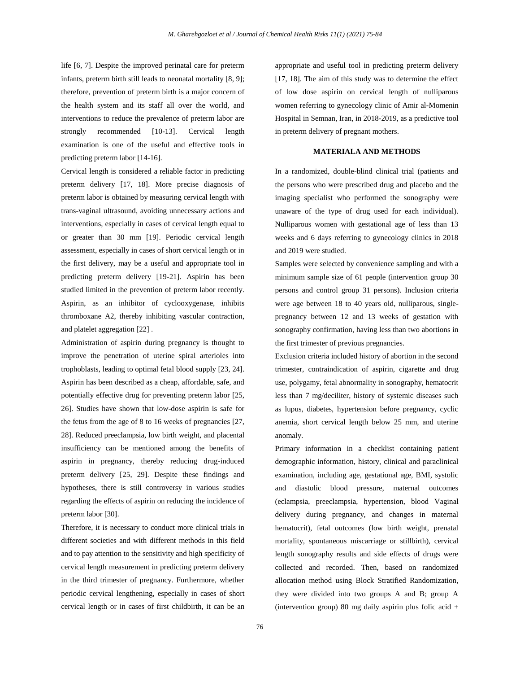life [6, 7]. Despite the improved perinatal care for preterm infants, preterm birth still leads to neonatal mortality [8, 9]; therefore, prevention of preterm birth is a major concern of the health system and its staff all over the world, and interventions to reduce the prevalence of preterm labor are strongly recommended [10-13]. Cervical length examination is one of the useful and effective tools in predicting preterm labor [14-16].

Cervical length is considered a reliable factor in predicting preterm delivery [17, 18]. More precise diagnosis of preterm labor is obtained by measuring cervical length with trans-vaginal ultrasound, avoiding unnecessary actions and interventions, especially in cases of cervical length equal to or greater than 30 mm [19]. Periodic cervical length assessment, especially in cases of short cervical length or in the first delivery, may be a useful and appropriate tool in predicting preterm delivery [19-21]. Aspirin has been studied limited in the prevention of preterm labor recently. Aspirin, as an inhibitor of cyclooxygenase, inhibits thromboxane A2, thereby inhibiting vascular contraction, and platelet aggregation [22] .

Administration of aspirin during pregnancy is thought to improve the penetration of uterine spiral arterioles into trophoblasts, leading to optimal fetal blood supply [23, 24]. Aspirin has been described as a cheap, affordable, safe, and potentially effective drug for preventing preterm labor [25, 26]. Studies have shown that low-dose aspirin is safe for the fetus from the age of 8 to 16 weeks of pregnancies [27, 28]. Reduced preeclampsia, low birth weight, and placental insufficiency can be mentioned among the benefits of aspirin in pregnancy, thereby reducing drug-induced preterm delivery [25, 29]. Despite these findings and hypotheses, there is still controversy in various studies regarding the effects of aspirin on reducing the incidence of preterm labor [30].

Therefore, it is necessary to conduct more clinical trials in different societies and with different methods in this field and to pay attention to the sensitivity and high specificity of cervical length measurement in predicting preterm delivery in the third trimester of pregnancy. Furthermore, whether periodic cervical lengthening, especially in cases of short cervical length or in cases of first childbirth, it can be an appropriate and useful tool in predicting preterm delivery [17, 18]. The aim of this study was to determine the effect of low dose aspirin on cervical length of nulliparous women referring to gynecology clinic of Amir al-Momenin Hospital in Semnan, Iran, in 2018-2019, as a predictive tool in preterm delivery of pregnant mothers.

## **MATERIALA AND METHODS**

In a randomized, double-blind clinical trial (patients and the persons who were prescribed drug and placebo and the imaging specialist who performed the sonography were unaware of the type of drug used for each individual). Nulliparous women with gestational age of less than 13 weeks and 6 days referring to gynecology clinics in 2018 and 2019 were studied.

Samples were selected by convenience sampling and with a minimum sample size of 61 people (intervention group 30 persons and control group 31 persons). Inclusion criteria were age between 18 to 40 years old, nulliparous, singlepregnancy between 12 and 13 weeks of gestation with sonography confirmation, having less than two abortions in the first trimester of previous pregnancies.

Exclusion criteria included history of abortion in the second trimester, contraindication of aspirin, cigarette and drug use, polygamy, fetal abnormality in sonography, hematocrit less than 7 mg/deciliter, history of systemic diseases such as lupus, diabetes, hypertension before pregnancy, cyclic anemia, short cervical length below 25 mm, and uterine anomaly.

Primary information in a checklist containing patient demographic information, history, clinical and paraclinical examination, including age, gestational age, BMI, systolic and diastolic blood pressure, maternal outcomes (eclampsia, preeclampsia, hypertension, blood Vaginal delivery during pregnancy, and changes in maternal hematocrit), fetal outcomes (low birth weight, prenatal mortality, spontaneous miscarriage or stillbirth), cervical length sonography results and side effects of drugs were collected and recorded. Then, based on randomized allocation method using Block Stratified Randomization, they were divided into two groups A and B; group A (intervention group) 80 mg daily aspirin plus folic acid +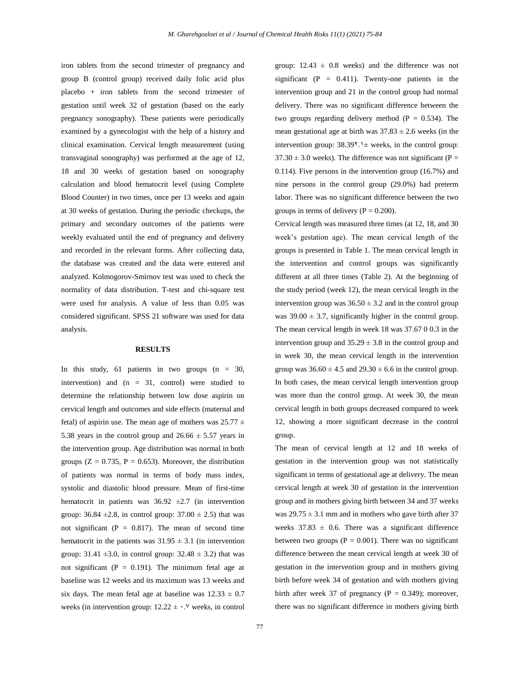iron tablets from the second trimester of pregnancy and group B (control group) received daily folic acid plus placebo + iron tablets from the second trimester of gestation until week 32 of gestation (based on the early pregnancy sonography). These patients were periodically examined by a gynecologist with the help of a history and clinical examination. Cervical length measurement (using transvaginal sonography) was performed at the age of 12, 18 and 30 weeks of gestation based on sonography calculation and blood hematocrit level (using Complete Blood Counter) in two times, once per 13 weeks and again at 30 weeks of gestation. During the periodic checkups, the primary and secondary outcomes of the patients were weekly evaluated until the end of pregnancy and delivery and recorded in the relevant forms. After collecting data, the database was created and the data were entered and analyzed. Kolmogorov-Smirnov test was used to check the normality of data distribution. T-test and chi-square test were used for analysis. A value of less than 0.05 was considered significant. SPSS 21 software was used for data analysis.

#### **RESULTS**

In this study, 61 patients in two groups  $(n = 30,$ intervention) and  $(n = 31, \text{ control})$  were studied to determine the relationship between low dose aspirin on cervical length and outcomes and side effects (maternal and fetal) of aspirin use. The mean age of mothers was  $25.77 \pm$ 5.38 years in the control group and  $26.66 \pm 5.57$  years in the intervention group. Age distribution was normal in both groups ( $Z = 0.735$ ,  $P = 0.653$ ). Moreover, the distribution of patients was normal in terms of body mass index, systolic and diastolic blood pressure. Mean of first-time hematocrit in patients was  $36.92 \pm 2.7$  (in intervention group:  $36.84 \pm 2.8$ , in control group:  $37.00 \pm 2.5$ ) that was not significant ( $P = 0.817$ ). The mean of second time hematocrit in the patients was  $31.95 \pm 3.1$  (in intervention group:  $31.41 \pm 3.0$ , in control group:  $32.48 \pm 3.2$ ) that was not significant ( $P = 0.191$ ). The minimum fetal age at baseline was 12 weeks and its maximum was 13 weeks and six days. The mean fetal age at baseline was  $12.33 \pm 0.7$ weeks (in intervention group:  $12.22 \pm \cdot$ .<sup> $\vee$ </sup> weeks, in control

group:  $12.43 \pm 0.8$  weeks) and the difference was not significant (P =  $0.411$ ). Twenty-one patients in the intervention group and 21 in the control group had normal delivery. There was no significant difference between the two groups regarding delivery method ( $P = 0.534$ ). The mean gestational age at birth was  $37.83 \pm 2.6$  weeks (in the intervention group:  $38.39$ <sup>t</sup>.<sup>1</sup>  $\pm$  weeks, in the control group:  $37.30 \pm 3.0$  weeks). The difference was not significant (P = 0.114). Five persons in the intervention group (16.7%) and nine persons in the control group (29.0%) had preterm labor. There was no significant difference between the two groups in terms of delivery ( $P = 0.200$ ).

Cervical length was measured three times (at 12, 18, and 30 week's gestation age). The mean cervical length of the groups is presented in Table 1. The mean cervical length in the intervention and control groups was significantly different at all three times (Table 2). At the beginning of the study period (week 12), the mean cervical length in the intervention group was  $36.50 \pm 3.2$  and in the control group was  $39.00 \pm 3.7$ , significantly higher in the control group. The mean cervical length in week 18 was 37.67 0 0.3 in the intervention group and  $35.29 \pm 3.8$  in the control group and in week 30, the mean cervical length in the intervention group was  $36.60 \pm 4.5$  and  $29.30 \pm 6.6$  in the control group. In both cases, the mean cervical length intervention group was more than the control group. At week 30, the mean cervical length in both groups decreased compared to week 12, showing a more significant decrease in the control group.

The mean of cervical length at 12 and 18 weeks of gestation in the intervention group was not statistically significant in terms of gestational age at delivery. The mean cervical length at week 30 of gestation in the intervention group and in mothers giving birth between 34 and 37 weeks was  $29.75 \pm 3.1$  mm and in mothers who gave birth after 37 weeks  $37.83 \pm 0.6$ . There was a significant difference between two groups ( $P = 0.001$ ). There was no significant difference between the mean cervical length at week 30 of gestation in the intervention group and in mothers giving birth before week 34 of gestation and with mothers giving birth after week 37 of pregnancy ( $P = 0.349$ ); moreover, there was no significant difference in mothers giving birth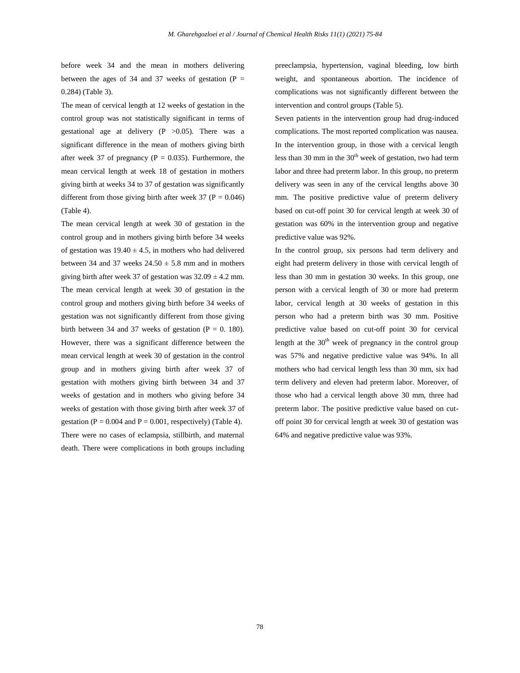before week 34 and the mean in mothers delivering between the ages of 34 and 37 weeks of gestation ( $P =$ 0.284) (Table 3).

The mean of cervical length at 12 weeks of gestation in the control group was not statistically significant in terms of gestational age at delivery  $(P > 0.05)$ . There was a significant difference in the mean of mothers giving birth after week 37 of pregnancy ( $P = 0.035$ ). Furthermore, the mean cervical length at week 18 of gestation in mothers giving birth at weeks 34 to 37 of gestation was significantly different from those giving birth after week 37 ( $P = 0.046$ ) (Table 4).

The mean cervical length at week 30 of gestation in the control group and in mothers giving birth before 34 weeks of gestation was  $19.40 \pm 4.5$ , in mothers who had delivered between 34 and 37 weeks  $24.50 \pm 5.8$  mm and in mothers giving birth after week 37 of gestation was  $32.09 \pm 4.2$  mm. The mean cervical length at week 30 of gestation in the control group and mothers giving birth before 34 weeks of gestation was not significantly different from those giving birth between 34 and 37 weeks of gestation ( $P = 0$ . 180). However, there was a significant difference between the mean cervical length at week 30 of gestation in the control group and in mothers giving birth after week 37 of gestation with mothers giving birth between 34 and 37 weeks of gestation and in mothers who giving before 34 weeks of gestation with those giving birth after week 37 of gestation ( $P = 0.004$  and  $P = 0.001$ , respectively) (Table 4). There were no cases of eclampsia, stillbirth, and maternal death. There were complications in both groups including preeclampsia, hypertension, vaginal bleeding, low birth weight, and spontaneous abortion. The incidence of complications was not significantly different between the intervention and control groups (Table 5).

Seven patients in the intervention group had drug-induced complications. The most reported complication was nausea. In the intervention group, in those with a cervical length less than 30 mm in the  $30<sup>th</sup>$  week of gestation, two had term labor and three had preterm labor. In this group, no preterm delivery was seen in any of the cervical lengths above 30 mm. The positive predictive value of preterm delivery based on cut-off point 30 for cervical length at week 30 of gestation was 60% in the intervention group and negative predictive value was 92%.

In the control group, six persons had term delivery and eight had preterm delivery in those with cervical length of less than 30 mm in gestation 30 weeks. In this group, one person with a cervical length of 30 or more had preterm labor, cervical length at 30 weeks of gestation in this person who had a preterm birth was 30 mm. Positive predictive value based on cut-off point 30 for cervical length at the  $30<sup>th</sup>$  week of pregnancy in the control group was 57% and negative predictive value was 94%. In all mothers who had cervical length less than 30 mm, six had term delivery and eleven had preterm labor. Moreover, of those who had a cervical length above 30 mm, three had preterm labor. The positive predictive value based on cutoff point 30 for cervical length at week 30 of gestation was 64% and negative predictive value was 93%.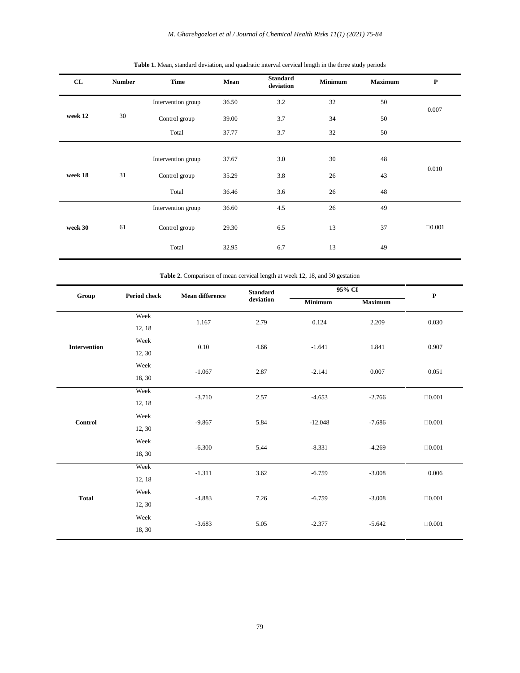*M. Gharehgozloei et al / Journal of Chemical Health Risks 11(1) (2021) 75-84*

| CL      | <b>Number</b> | <b>Time</b>        | Mean  | <b>Standard</b><br>deviation | <b>Minimum</b> | <b>Maximum</b> | $\mathbf P$  |
|---------|---------------|--------------------|-------|------------------------------|----------------|----------------|--------------|
|         |               | Intervention group | 36.50 | 3.2                          | 32             | 50             | 0.007        |
| week 12 | 30            | Control group      | 39.00 | 3.7                          | 34             | 50             |              |
|         |               | Total              | 37.77 | 3.7                          | 32             | 50             |              |
|         |               |                    |       |                              |                |                |              |
| week 18 |               | Intervention group | 37.67 | 3.0                          | 30             | 48             | 0.010        |
|         | 31            | Control group      | 35.29 | 3.8                          | 26             | 43             |              |
|         |               | Total              | 36.46 | 3.6                          | 26             | 48             |              |
|         |               | Intervention group | 36.60 | 4.5                          | 26             | 49             |              |
| week 30 | 61            | Control group      | 29.30 | 6.5                          | 13             | 37             | $\Box 0.001$ |
|         |               | Total              | 32.95 | 6.7                          | 13             | 49             |              |

|  |  | Table 1. Mean, standard deviation, and quadratic interval cervical length in the three study periods |  |  |  |  |
|--|--|------------------------------------------------------------------------------------------------------|--|--|--|--|
|--|--|------------------------------------------------------------------------------------------------------|--|--|--|--|

**Table 2.** Comparison of mean cervical length at week 12, 18, and 30 gestation

| Group               | Period check | <b>Mean difference</b> | <b>Standard</b> |           | 95% CI         |              |  |
|---------------------|--------------|------------------------|-----------------|-----------|----------------|--------------|--|
|                     |              |                        | deviation       | Minimum   | <b>Maximum</b> | $\mathbf P$  |  |
|                     | Week         | 1.167                  | 2.79            | 0.124     | 2.209          | 0.030        |  |
|                     | 12, 18       |                        |                 |           |                |              |  |
|                     | Week         | 0.10                   | 4.66            | $-1.641$  | 1.841          | 0.907        |  |
| <b>Intervention</b> | 12, 30       |                        |                 |           |                |              |  |
|                     | Week         |                        |                 |           |                |              |  |
|                     | 18, 30       | $-1.067$               | 2.87            | $-2.141$  | 0.007          | 0.051        |  |
|                     | Week         | $-3.710$               | 2.57            | $-4.653$  | $-2.766$       | $\Box 0.001$ |  |
|                     | 12, 18       |                        |                 |           |                |              |  |
|                     | Week         |                        |                 |           |                |              |  |
| Control             | 12, 30       | $-9.867$               | 5.84            | $-12.048$ | $-7.686$       | $\Box 0.001$ |  |
|                     | Week         | $-6.300$               | 5.44            | $-8.331$  | $-4.269$       | $\Box 0.001$ |  |
|                     | 18, 30       |                        |                 |           |                |              |  |
|                     | Week         | $-1.311$               | 3.62            | $-6.759$  | $-3.008$       | 0.006        |  |
| <b>Total</b>        | 12, 18       |                        |                 |           |                |              |  |
|                     | Week         | $-4.883$               |                 | $-6.759$  |                | $\Box 0.001$ |  |
|                     | 12, 30       |                        | 7.26            |           | $-3.008$       |              |  |
|                     | Week         |                        |                 |           |                | $\Box 0.001$ |  |
|                     | 18, 30       | $-3.683$               | 5.05            | $-2.377$  | $-5.642$       |              |  |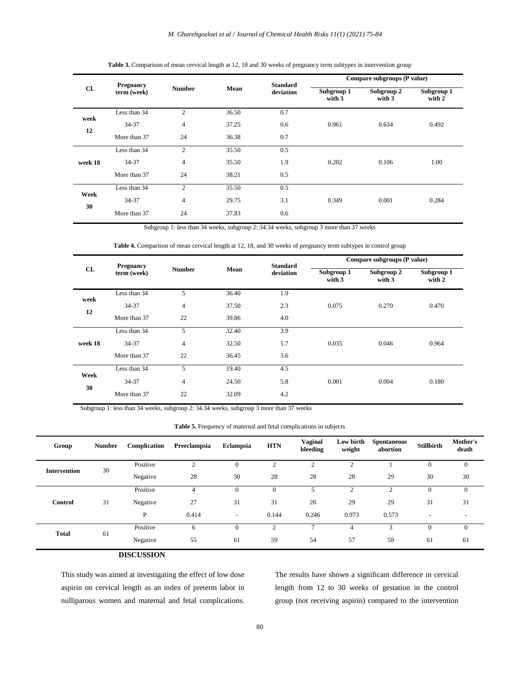| CL         | <b>Pregnancy</b> |                |       | <b>Standard</b> | Compare subgroups (P value) |                        |                      |  |
|------------|------------------|----------------|-------|-----------------|-----------------------------|------------------------|----------------------|--|
|            | term (week)      | <b>Number</b>  | Mean  | deviation       |                             | Subgroup 2<br>with $3$ | Subgroup 1<br>with 2 |  |
| week<br>12 | Less than 34     | $\overline{2}$ | 36.50 | 0.7             |                             |                        |                      |  |
|            | 34-37            | $\overline{4}$ | 37.25 | 0.6             | 0.961                       | 0.634                  | 0.492                |  |
|            | More than 37     | 24             | 36.38 | 0.7             |                             |                        |                      |  |
|            | Less than 34     | $\overline{2}$ | 35.50 | 0.5             |                             |                        |                      |  |
| week 18    | 34-37            | $\overline{4}$ | 35.50 | 1.9             | 0.202                       | 0.106                  | 1.00                 |  |
|            | More than 37     | 24             | 38.21 | 0.5             |                             |                        |                      |  |
| Week<br>30 | Less than 34     | 2              | 35.50 | 0.5             |                             |                        |                      |  |
|            | 34-37            | $\overline{4}$ | 29.75 | 3.1             | 0.349                       | 0.001                  | 0.284                |  |
|            | More than 37     | 24             | 37.83 | 0.6             |                             |                        |                      |  |

## **Table 3.** Comparison of mean cervical length at 12, 18 and 30 weeks of pregnancy term subtypes in intervention group

Subgroup 1: less than 34 weeks, subgroup 2: 34.34 weeks, subgroup 3 more than 37 weeks

**Table 4.** Comparison of mean cervical length at 12, 18, and 30 weeks of pregnancy term subtypes in control group

|            | <b>Pregnancy</b> |                |       | <b>Standard</b> | Compare subgroups (P value) |                      |                      |  |
|------------|------------------|----------------|-------|-----------------|-----------------------------|----------------------|----------------------|--|
| CL         | term (week)      | <b>Number</b>  | Mean  | deviation       | Subgroup 1<br>with 3        | Subgroup 2<br>with 3 | Subgroup 1<br>with 2 |  |
|            | Less than 34     | 5              | 36.40 | 1.9             |                             |                      |                      |  |
| week<br>12 | 34-37            | $\overline{4}$ | 37.50 | 2.3             | 0.075                       | 0.270                | 0.470                |  |
|            | More than 37     | 22             | 39.86 | 4.0             |                             |                      |                      |  |
|            | Less than 34     | 5              | 32.40 | 3.9             |                             |                      |                      |  |
| week 18    | 34-37            | $\overline{4}$ | 32.50 | 1.7             | 0.035                       | 0.046                | 0.964                |  |
|            | More than 37     | 22             | 36.45 | 3.6             |                             |                      |                      |  |
| Week<br>30 | Less than 34     | 5              | 19.40 | 4.5             |                             |                      |                      |  |
|            | 34-37            | $\overline{4}$ | 24.50 | 5.8             | 0.001                       | 0.004                | 0.180                |  |
|            | More than 37     | 22             | 32.09 | 4.2             |                             |                      |                      |  |

Subgroup 1: less than 34 weeks, subgroup 2: 34.34 weeks, subgroup 3 more than 37 weeks

| <b>Table 5.</b> Frequency of maternal and fetal complications in subjects |  |  |
|---------------------------------------------------------------------------|--|--|
|                                                                           |  |  |

| Group               | <b>Number</b> | Complication | Preeclampsia   | Eclampsia                | <b>HTN</b>     | Vaginal<br>bleeding | Low birth<br>weight | <b>Spontaneous</b><br>abortion | <b>Stillbirth</b> | Mother's<br>death |
|---------------------|---------------|--------------|----------------|--------------------------|----------------|---------------------|---------------------|--------------------------------|-------------------|-------------------|
|                     | 30            | Positive     | $\overline{2}$ | $\mathbf{0}$             | $\overline{2}$ | $\overline{2}$      | $\sim$              |                                | $\overline{0}$    | $\mathbf{0}$      |
| <b>Intervention</b> |               | Negative     | 28             | 30                       | 28             | 28                  | 28                  | 29                             | 30                | 30                |
| Control             |               | Positive     | 4              | $\mathbf{0}$             | $\theta$       |                     | $\mathcal{L}$       | 2                              | $\mathbf{0}$      | $\mathbf{0}$      |
|                     | 31            | Negative     | 27             | 31                       | 31             | 26                  | 29                  | 29                             | 31                | 31                |
|                     |               | P            | 0.414          | $\overline{\phantom{a}}$ | 0.144          | 0.246               | 0.973               | 0.573                          |                   |                   |
| <b>Total</b>        | 61            | Positive     | 6              | $\Omega$                 | ◠              |                     | 4                   | $\mathbf{\hat{z}}$             | $\Omega$          | $\Omega$          |
|                     |               | Negative     | 55             | 61                       | 59             | 54                  | 57                  | 58                             | 61                | 61                |

## **DISCUSSION**

This study was aimed at investigating the effect of low dose aspirin on cervical length as an index of preterm labor in nulliparous women and maternal and fetal complications.

The results have shown a significant difference in cervical length from 12 to 30 weeks of gestation in the control group (not receiving aspirin) compared to the intervention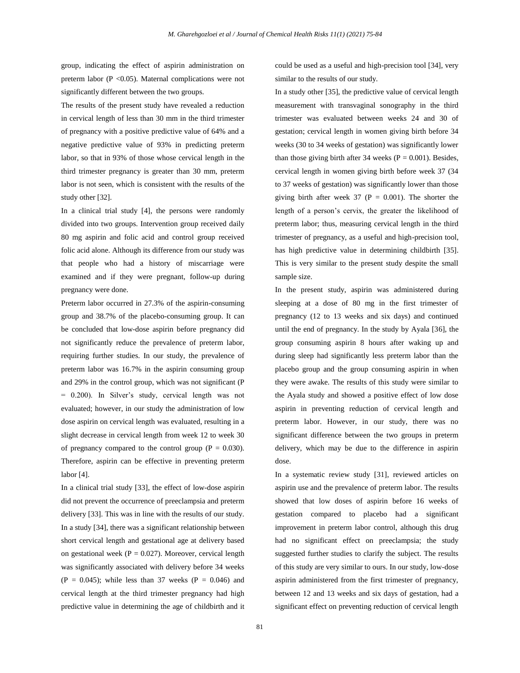group, indicating the effect of aspirin administration on preterm labor (P <0.05). Maternal complications were not significantly different between the two groups.

The results of the present study have revealed a reduction in cervical length of less than 30 mm in the third trimester of pregnancy with a positive predictive value of 64% and a negative predictive value of 93% in predicting preterm labor, so that in 93% of those whose cervical length in the third trimester pregnancy is greater than 30 mm, preterm labor is not seen, which is consistent with the results of the study other [32].

In a clinical trial study [4], the persons were randomly divided into two groups. Intervention group received daily 80 mg aspirin and folic acid and control group received folic acid alone. Although its difference from our study was that people who had a history of miscarriage were examined and if they were pregnant, follow-up during pregnancy were done.

Preterm labor occurred in 27.3% of the aspirin-consuming group and 38.7% of the placebo-consuming group. It can be concluded that low-dose aspirin before pregnancy did not significantly reduce the prevalence of preterm labor, requiring further studies. In our study, the prevalence of preterm labor was 16.7% in the aspirin consuming group and 29% in the control group, which was not significant (P = 0.200). In Silver's study, cervical length was not evaluated; however, in our study the administration of low dose aspirin on cervical length was evaluated, resulting in a slight decrease in cervical length from week 12 to week 30 of pregnancy compared to the control group ( $P = 0.030$ ). Therefore, aspirin can be effective in preventing preterm labor [4].

In a clinical trial study [33], the effect of low-dose aspirin did not prevent the occurrence of preeclampsia and preterm delivery [33]. This was in line with the results of our study. In a study [34], there was a significant relationship between short cervical length and gestational age at delivery based on gestational week ( $P = 0.027$ ). Moreover, cervical length was significantly associated with delivery before 34 weeks  $(P = 0.045)$ ; while less than 37 weeks  $(P = 0.046)$  and cervical length at the third trimester pregnancy had high predictive value in determining the age of childbirth and it could be used as a useful and high-precision tool [34], very similar to the results of our study.

In a study other [35], the predictive value of cervical length measurement with transvaginal sonography in the third trimester was evaluated between weeks 24 and 30 of gestation; cervical length in women giving birth before 34 weeks (30 to 34 weeks of gestation) was significantly lower than those giving birth after 34 weeks ( $P = 0.001$ ). Besides, cervical length in women giving birth before week 37 (34 to 37 weeks of gestation) was significantly lower than those giving birth after week 37 ( $P = 0.001$ ). The shorter the length of a person's cervix, the greater the likelihood of preterm labor; thus, measuring cervical length in the third trimester of pregnancy, as a useful and high-precision tool, has high predictive value in determining childbirth [35]. This is very similar to the present study despite the small sample size.

In the present study, aspirin was administered during sleeping at a dose of 80 mg in the first trimester of pregnancy (12 to 13 weeks and six days) and continued until the end of pregnancy. In the study by Ayala [36], the group consuming aspirin 8 hours after waking up and during sleep had significantly less preterm labor than the placebo group and the group consuming aspirin in when they were awake. The results of this study were similar to the Ayala study and showed a positive effect of low dose aspirin in preventing reduction of cervical length and preterm labor. However, in our study, there was no significant difference between the two groups in preterm delivery, which may be due to the difference in aspirin dose.

In a systematic review study [31], reviewed articles on aspirin use and the prevalence of preterm labor. The results showed that low doses of aspirin before 16 weeks of gestation compared to placebo had a significant improvement in preterm labor control, although this drug had no significant effect on preeclampsia; the study suggested further studies to clarify the subject. The results of this study are very similar to ours. In our study, low-dose aspirin administered from the first trimester of pregnancy, between 12 and 13 weeks and six days of gestation, had a significant effect on preventing reduction of cervical length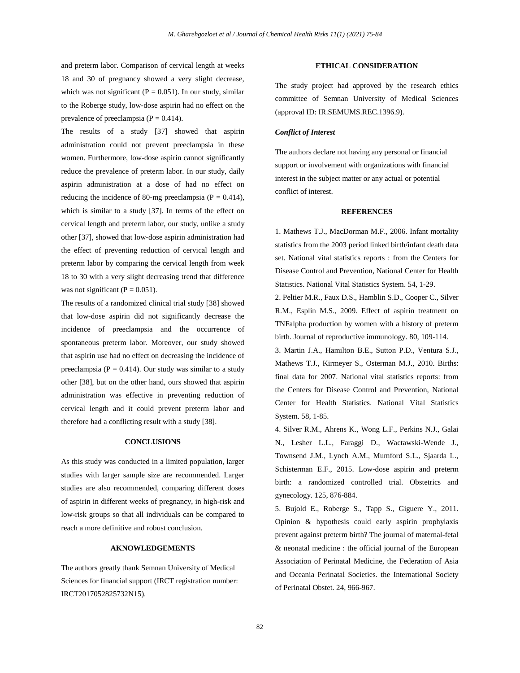and preterm labor. Comparison of cervical length at weeks 18 and 30 of pregnancy showed a very slight decrease, which was not significant ( $P = 0.051$ ). In our study, similar to the Roberge study, low-dose aspirin had no effect on the prevalence of preeclampsia ( $P = 0.414$ ).

The results of a study [37] showed that aspirin administration could not prevent preeclampsia in these women. Furthermore, low-dose aspirin cannot significantly reduce the prevalence of preterm labor. In our study, daily aspirin administration at a dose of had no effect on reducing the incidence of 80-mg preeclampsia ( $P = 0.414$ ), which is similar to a study [37]. In terms of the effect on cervical length and preterm labor, our study, unlike a study other [37], showed that low-dose aspirin administration had the effect of preventing reduction of cervical length and preterm labor by comparing the cervical length from week 18 to 30 with a very slight decreasing trend that difference was not significant ( $P = 0.051$ ).

The results of a randomized clinical trial study [38] showed that low-dose aspirin did not significantly decrease the incidence of preeclampsia and the occurrence of spontaneous preterm labor. Moreover, our study showed that aspirin use had no effect on decreasing the incidence of preeclampsia ( $P = 0.414$ ). Our study was similar to a study other [38], but on the other hand, ours showed that aspirin administration was effective in preventing reduction of cervical length and it could prevent preterm labor and therefore had a conflicting result with a study [38].

### **CONCLUSIONS**

As this study was conducted in a limited population, larger studies with larger sample size are recommended. Larger studies are also recommended, comparing different doses of aspirin in different weeks of pregnancy, in high-risk and low-risk groups so that all individuals can be compared to reach a more definitive and robust conclusion.

## **AKNOWLEDGEMENTS**

The authors greatly thank Semnan University of Medical Sciences for financial support (IRCT registration number: IRCT2017052825732N15).

## **ETHICAL CONSIDERATION**

The study project had approved by the research ethics committee of Semnan University of Medical Sciences (approval ID: IR.SEMUMS.REC.1396.9).

### *Conflict of Interest*

The authors declare not having any personal or financial support or involvement with organizations with financial interest in the subject matter or any actual or potential conflict of interest.

## **REFERENCES**

1. Mathews T.J., MacDorman M.F., 2006. Infant mortality statistics from the 2003 period linked birth/infant death data set. National vital statistics reports : from the Centers for Disease Control and Prevention, National Center for Health Statistics. National Vital Statistics System. 54, 1-29.

2. Peltier M.R., Faux D.S., Hamblin S.D., Cooper C., Silver R.M., Esplin M.S., 2009. Effect of aspirin treatment on TNFalpha production by women with a history of preterm birth. Journal of reproductive immunology. 80, 109-114.

3. Martin J.A., Hamilton B.E., Sutton P.D., Ventura S.J., Mathews T.J., Kirmeyer S., Osterman M.J., 2010. Births: final data for 2007. National vital statistics reports: from the Centers for Disease Control and Prevention, National Center for Health Statistics. National Vital Statistics System. 58, 1-85.

4. Silver R.M., Ahrens K., Wong L.F., Perkins N.J., Galai N., Lesher L.L., Faraggi D., Wactawski-Wende J., Townsend J.M., Lynch A.M., Mumford S.L., Sjaarda L., Schisterman E.F., 2015. Low-dose aspirin and preterm birth: a randomized controlled trial. Obstetrics and gynecology. 125, 876-884.

5. Bujold E., Roberge S., Tapp S., Giguere Y., 2011. Opinion & hypothesis could early aspirin prophylaxis prevent against preterm birth? The journal of maternal-fetal & neonatal medicine : the official journal of the European Association of Perinatal Medicine, the Federation of Asia and Oceania Perinatal Societies. the International Society of Perinatal Obstet. 24, 966-967.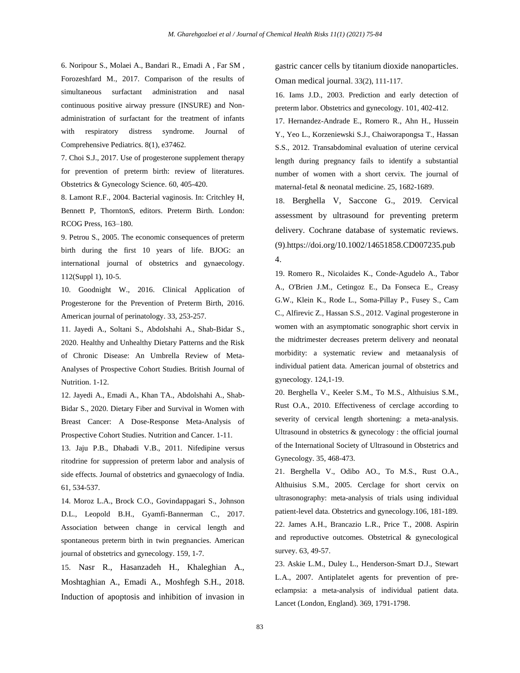6. Noripour S., Molaei A., Bandari R., Emadi A , Far SM , Forozeshfard M., 2017. Comparison of the results of simultaneous surfactant administration and nasal continuous positive airway pressure (INSURE) and Nonadministration of surfactant for the treatment of infants with respiratory distress syndrome. Journal of Comprehensive Pediatrics. 8(1), e37462.

7. Choi S.J., 2017. Use of progesterone supplement therapy for prevention of preterm birth: review of literatures. Obstetrics & Gynecology Science. 60, 405-420.

8. Lamont R.F., 2004. Bacterial vaginosis. In: Critchley H, Bennett P, ThorntonS, editors. Preterm Birth. London: RCOG Press, 163–180.

9. Petrou S., 2005. The economic consequences of preterm birth during the first 10 years of life. BJOG: an international journal of obstetrics and gynaecology. 112(Suppl 1), 10-5.

10. Goodnight W., 2016. Clinical Application of Progesterone for the Prevention of Preterm Birth, 2016. American journal of perinatology. 33, 253-257.

11. Jayedi A., Soltani S., Abdolshahi A., Shab-Bidar S., 2020. Healthy and Unhealthy Dietary Patterns and the Risk of Chronic Disease: An Umbrella Review of Meta-Analyses of Prospective Cohort Studies. British Journal of Nutrition. 1-12.

12. Jayedi A., Emadi A., Khan TA., Abdolshahi A., Shab-Bidar S., 2020. Dietary Fiber and Survival in Women with Breast Cancer: A Dose-Response Meta-Analysis of Prospective Cohort Studies. Nutrition and Cancer. 1-11.

13. Jaju P.B., Dhabadi V.B., 2011. Nifedipine versus ritodrine for suppression of preterm labor and analysis of side effects. Journal of obstetrics and gynaecology of India. 61, 534-537.

14. Moroz L.A., Brock C.O., Govindappagari S., Johnson D.L., Leopold B.H., Gyamfi-Bannerman C., 2017. Association between change in cervical length and spontaneous preterm birth in twin pregnancies. American journal of obstetrics and gynecology. 159, 1-7.

15. Nasr R., Hasanzadeh H., Khaleghian A., Moshtaghian A., Emadi A., Moshfegh S.H., 2018. Induction of apoptosis and inhibition of invasion in gastric cancer cells by titanium dioxide nanoparticles. Oman medical journal. 33(2), 111-117.

16. Iams J.D., 2003. Prediction and early detection of preterm labor. Obstetrics and gynecology. 101, 402-412.

17. Hernandez-Andrade E., Romero R., Ahn H., Hussein Y., Yeo L., Korzeniewski S.J., Chaiworapongsa T., Hassan S.S., 2012. Transabdominal evaluation of uterine cervical length during pregnancy fails to identify a substantial number of women with a short cervix. The journal of maternal-fetal & neonatal medicine. 25, 1682-1689.

18. Berghella V, Saccone G., 2019. Cervical assessment by ultrasound for preventing preterm delivery. Cochrane database of systematic reviews. (9).[https://doi.org/10.1002/14651858.CD007235.pub](https://doi.org/10.1002/14651858.CD007235.pub4) [4.](https://doi.org/10.1002/14651858.CD007235.pub4)

19. Romero R., Nicolaides K., Conde-Agudelo A., Tabor A., O'Brien J.M., Cetingoz E., Da Fonseca E., Creasy G.W., Klein K., Rode L., Soma-Pillay P., Fusey S., Cam C., Alfirevic Z., Hassan S.S., 2012. Vaginal progesterone in women with an asymptomatic sonographic short cervix in the midtrimester decreases preterm delivery and neonatal morbidity: a systematic review and metaanalysis of individual patient data. American journal of obstetrics and gynecology. 124,1-19.

20. Berghella V., Keeler S.M., To M.S., Althuisius S.M., Rust O.A., 2010. Effectiveness of cerclage according to severity of cervical length shortening: a meta-analysis. Ultrasound in obstetrics & gynecology : the official journal of the International Society of Ultrasound in Obstetrics and Gynecology. 35, 468-473.

21. Berghella V., Odibo AO., To M.S., Rust O.A., Althuisius S.M., 2005. Cerclage for short cervix on ultrasonography: meta-analysis of trials using individual patient-level data. Obstetrics and gynecology.106, 181-189. 22. James A.H., Brancazio L.R., Price T., 2008. Aspirin and reproductive outcomes. Obstetrical & gynecological survey. 63, 49-57.

23. Askie L.M., Duley L., Henderson-Smart D.J., Stewart L.A., 2007. Antiplatelet agents for prevention of preeclampsia: a meta-analysis of individual patient data. Lancet (London, England). 369, 1791-1798.